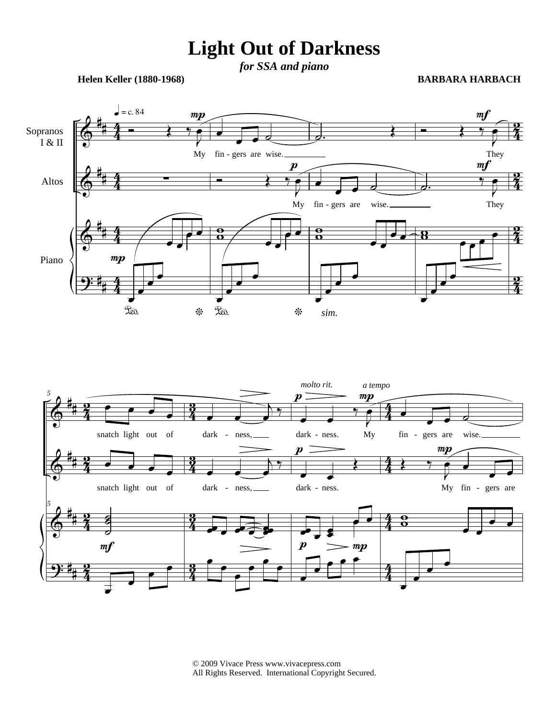## **Light Out of Darkness**

*for SSA and piano*

**Helen Keller (1880-1968)**

**BARBARA HARBACH**





© 2009 Vivace Press www.vivacepress.com All Rights Reserved. International Copyright Secured.